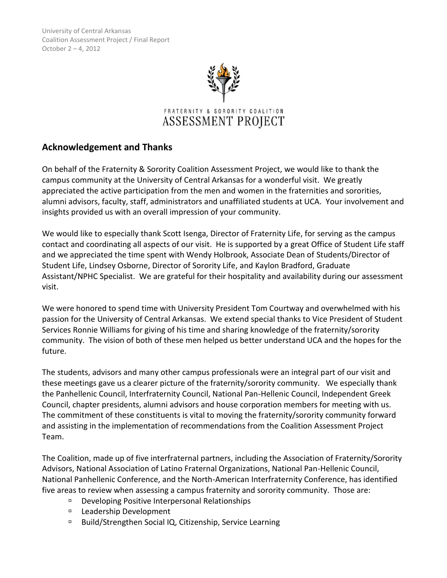

# **Acknowledgement and Thanks**

On behalf of the Fraternity & Sorority Coalition Assessment Project, we would like to thank the campus community at the University of Central Arkansas for a wonderful visit. We greatly appreciated the active participation from the men and women in the fraternities and sororities, alumni advisors, faculty, staff, administrators and unaffiliated students at UCA. Your involvement and insights provided us with an overall impression of your community.

We would like to especially thank Scott Isenga, Director of Fraternity Life, for serving as the campus contact and coordinating all aspects of our visit. He is supported by a great Office of Student Life staff and we appreciated the time spent with Wendy Holbrook, Associate Dean of Students/Director of Student Life, Lindsey Osborne, Director of Sorority Life, and Kaylon Bradford, Graduate Assistant/NPHC Specialist. We are grateful for their hospitality and availability during our assessment visit.

We were honored to spend time with University President Tom Courtway and overwhelmed with his passion for the University of Central Arkansas. We extend special thanks to Vice President of Student Services Ronnie Williams for giving of his time and sharing knowledge of the fraternity/sorority community. The vision of both of these men helped us better understand UCA and the hopes for the future.

The students, advisors and many other campus professionals were an integral part of our visit and these meetings gave us a clearer picture of the fraternity/sorority community. We especially thank the Panhellenic Council, Interfraternity Council, National Pan-Hellenic Council, Independent Greek Council, chapter presidents, alumni advisors and house corporation members for meeting with us. The commitment of these constituents is vital to moving the fraternity/sorority community forward and assisting in the implementation of recommendations from the Coalition Assessment Project Team.

The Coalition, made up of five interfraternal partners, including the Association of Fraternity/Sorority Advisors, National Association of Latino Fraternal Organizations, National Pan-Hellenic Council, National Panhellenic Conference, and the North-American Interfraternity Conference, has identified five areas to review when assessing a campus fraternity and sorority community. Those are:

- Developing Positive Interpersonal Relationships
- □ Leadership Development
- □ Build/Strengthen Social IQ, Citizenship, Service Learning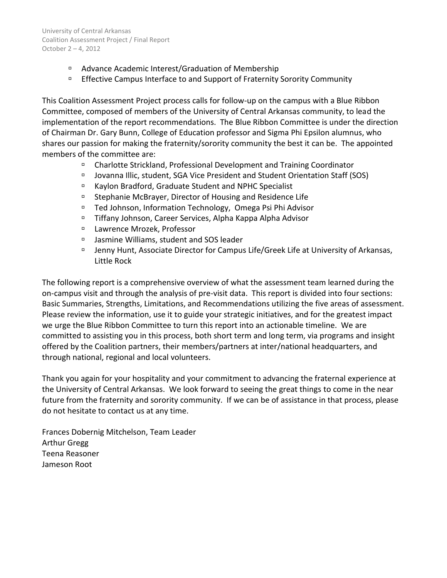- □ Advance Academic Interest/Graduation of Membership
- <sup>n</sup> Effective Campus Interface to and Support of Fraternity Sorority Community

This Coalition Assessment Project process calls for follow-up on the campus with a Blue Ribbon Committee, composed of members of the University of Central Arkansas community, to lead the implementation of the report recommendations. The Blue Ribbon Committee is under the direction of Chairman Dr. Gary Bunn, College of Education professor and Sigma Phi Epsilon alumnus, who shares our passion for making the fraternity/sorority community the best it can be. The appointed members of the committee are:

- Charlotte Strickland, Professional Development and Training Coordinator
- Jovanna Illic, student, SGA Vice President and Student Orientation Staff (SOS)
- □ Kaylon Bradford, Graduate Student and NPHC Specialist
- □ Stephanie McBrayer, Director of Housing and Residence Life
- □ Ted Johnson, Information Technology, Omega Psi Phi Advisor
- □ Tiffany Johnson, Career Services, Alpha Kappa Alpha Advisor
- Lawrence Mrozek, Professor
- Jasmine Williams, student and SOS leader
- Jenny Hunt, Associate Director for Campus Life/Greek Life at University of Arkansas, Little Rock

The following report is a comprehensive overview of what the assessment team learned during the on-campus visit and through the analysis of pre-visit data. This report is divided into four sections: Basic Summaries, Strengths, Limitations, and Recommendations utilizing the five areas of assessment. Please review the information, use it to guide your strategic initiatives, and for the greatest impact we urge the Blue Ribbon Committee to turn this report into an actionable timeline. We are committed to assisting you in this process, both short term and long term, via programs and insight offered by the Coalition partners, their members/partners at inter/national headquarters, and through national, regional and local volunteers.

Thank you again for your hospitality and your commitment to advancing the fraternal experience at the University of Central Arkansas. We look forward to seeing the great things to come in the near future from the fraternity and sorority community. If we can be of assistance in that process, please do not hesitate to contact us at any time.

Frances Dobernig Mitchelson, Team Leader Arthur Gregg Teena Reasoner Jameson Root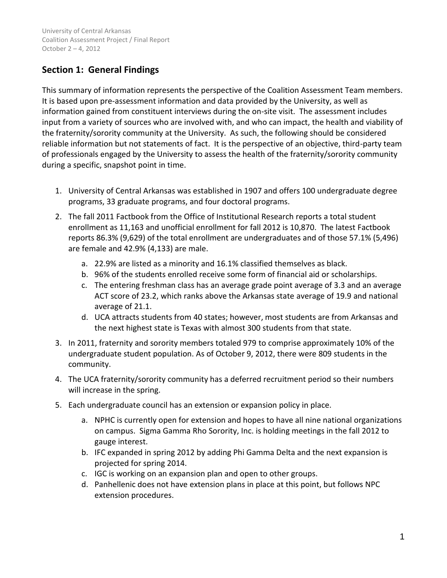# **Section 1: General Findings**

This summary of information represents the perspective of the Coalition Assessment Team members. It is based upon pre-assessment information and data provided by the University, as well as information gained from constituent interviews during the on-site visit. The assessment includes input from a variety of sources who are involved with, and who can impact, the health and viability of the fraternity/sorority community at the University. As such, the following should be considered reliable information but not statements of fact. It is the perspective of an objective, third-party team of professionals engaged by the University to assess the health of the fraternity/sorority community during a specific, snapshot point in time.

- 1. University of Central Arkansas was established in 1907 and offers 100 undergraduate degree programs, 33 graduate programs, and four doctoral programs.
- 2. The fall 2011 Factbook from the Office of Institutional Research reports a total student enrollment as 11,163 and unofficial enrollment for fall 2012 is 10,870. The latest Factbook reports 86.3% (9,629) of the total enrollment are undergraduates and of those 57.1% (5,496) are female and 42.9% (4,133) are male.
	- a. 22.9% are listed as a minority and 16.1% classified themselves as black.
	- b. 96% of the students enrolled receive some form of financial aid or scholarships.
	- c. The entering freshman class has an average grade point average of 3.3 and an average ACT score of 23.2, which ranks above the Arkansas state average of 19.9 and national average of 21.1.
	- d. UCA attracts students from 40 states; however, most students are from Arkansas and the next highest state is Texas with almost 300 students from that state.
- 3. In 2011, fraternity and sorority members totaled 979 to comprise approximately 10% of the undergraduate student population. As of October 9, 2012, there were 809 students in the community.
- 4. The UCA fraternity/sorority community has a deferred recruitment period so their numbers will increase in the spring.
- 5. Each undergraduate council has an extension or expansion policy in place.
	- a. NPHC is currently open for extension and hopes to have all nine national organizations on campus. Sigma Gamma Rho Sorority, Inc. is holding meetings in the fall 2012 to gauge interest.
	- b. IFC expanded in spring 2012 by adding Phi Gamma Delta and the next expansion is projected for spring 2014.
	- c. IGC is working on an expansion plan and open to other groups.
	- d. Panhellenic does not have extension plans in place at this point, but follows NPC extension procedures.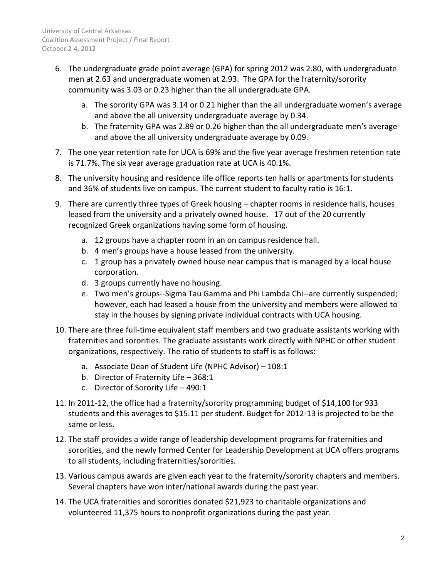- 6. The undergraduate grade point average (GPA) for spring 2012 was 2.80, with undergraduate men at 2.63 and undergraduate women at 2.93. The GPA for the fraternity/sorority community was 3.03 or 0.23 higher than the all undergraduate GPA.
	- a. The sorority GPA was 3.14 or 0.21 higher than the all undergraduate women's average and above the all university undergraduate average by 0.34.
	- b. The fraternity GPA was 2.89 or 0.26 higher than the all undergraduate men's average and above the all university undergraduate average by 0.09.
- 7. The one year retention rate for UCA is 69% and the five year average freshmen retention rate is 71.7%. The six year average graduation rate at UCA is 40.1%.
- 8. The university housing and residence life office reports ten halls or apartments for students and 36% of students live on campus. The current student to faculty ratio is 16:1.
- 9. There are currently three types of Greek housing chapter rooms in residence halls, houses leased from the university and a privately owned house. 17 out of the 20 currently recognized Greek organizations having some form of housing.
	- a. 12 groups have a chapter room in an on campus residence hall.
	- b. 4 men's groups have a house leased from the university.
	- c. 1 group has a privately owned house near campus that is managed by a local house corporation.
	- d. 3 groups currently have no housing.
	- e. Two men's groups--Sigma Tau Gamma and Phi Lambda Chi--are currently suspended; however, each had leased a house from the university and members were allowed to stay in the houses by signing private individual contracts with UCA housing.
- 10. There are three full-time equivalent staff members and two graduate assistants working with fraternities and sororities. The graduate assistants work directly with NPHC or other student organizations, respectively. The ratio of students to staff is as follows:
	- a. Associate Dean of Student Life (NPHC Advisor) 108:1
	- b. Director of Fraternity Life 368:1
	- c. Director of Sorority Life 490:1
- 11. In 2011-12, the office had a fraternity/sorority programming budget of \$14,100 for 933 students and this averages to \$15.11 per student. Budget for 2012-13 is projected to be the same or less.
- 12. The staff provides a wide range of leadership development programs for fraternities and sororities, and the newly formed Center for Leadership Development at UCA offers programs to all students, including fraternities/sororities.
- 13. Various campus awards are given each year to the fraternity/sorority chapters and members. Several chapters have won inter/national awards during the past year.
- 14. The UCA fraternities and sororities donated \$21,923 to charitable organizations and volunteered 11,375 hours to nonprofit organizations during the past year.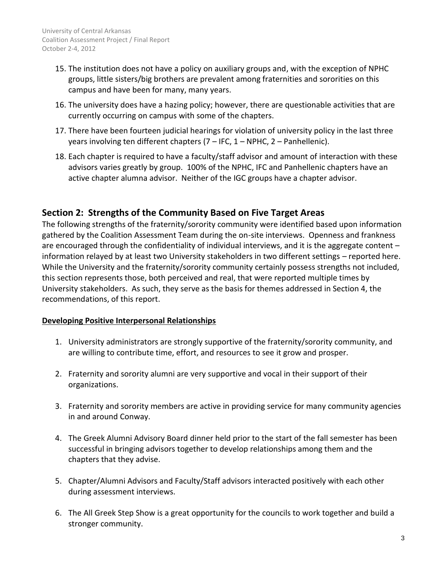- 15. The institution does not have a policy on auxiliary groups and, with the exception of NPHC groups, little sisters/big brothers are prevalent among fraternities and sororities on this campus and have been for many, many years.
- 16. The university does have a hazing policy; however, there are questionable activities that are currently occurring on campus with some of the chapters.
- 17. There have been fourteen judicial hearings for violation of university policy in the last three years involving ten different chapters (7 – IFC, 1 – NPHC, 2 – Panhellenic).
- 18. Each chapter is required to have a faculty/staff advisor and amount of interaction with these advisors varies greatly by group. 100% of the NPHC, IFC and Panhellenic chapters have an active chapter alumna advisor. Neither of the IGC groups have a chapter advisor.

## **Section 2: Strengths of the Community Based on Five Target Areas**

The following strengths of the fraternity/sorority community were identified based upon information gathered by the Coalition Assessment Team during the on-site interviews. Openness and frankness are encouraged through the confidentiality of individual interviews, and it is the aggregate content – information relayed by at least two University stakeholders in two different settings – reported here. While the University and the fraternity/sorority community certainly possess strengths not included, this section represents those, both perceived and real, that were reported multiple times by University stakeholders. As such, they serve as the basis for themes addressed in Section 4, the recommendations, of this report.

### **Developing Positive Interpersonal Relationships**

- 1. University administrators are strongly supportive of the fraternity/sorority community, and are willing to contribute time, effort, and resources to see it grow and prosper.
- 2. Fraternity and sorority alumni are very supportive and vocal in their support of their organizations.
- 3. Fraternity and sorority members are active in providing service for many community agencies in and around Conway.
- 4. The Greek Alumni Advisory Board dinner held prior to the start of the fall semester has been successful in bringing advisors together to develop relationships among them and the chapters that they advise.
- 5. Chapter/Alumni Advisors and Faculty/Staff advisors interacted positively with each other during assessment interviews.
- 6. The All Greek Step Show is a great opportunity for the councils to work together and build a stronger community.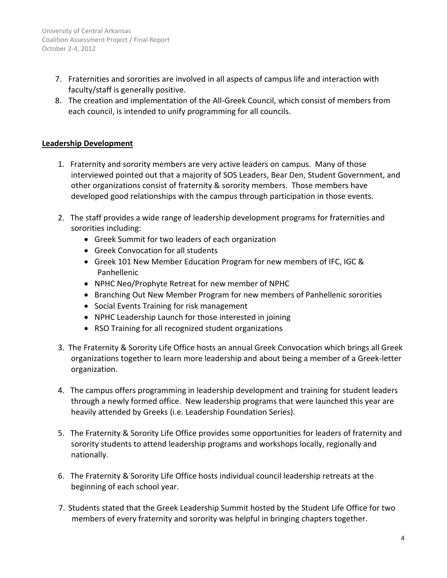- 7. Fraternities and sororities are involved in all aspects of campus life and interaction with faculty/staff is generally positive.
- 8. The creation and implementation of the All-Greek Council, which consist of members from each council, is intended to unify programming for all councils.

### **Leadership Development**

- 1. Fraternity and sorority members are very active leaders on campus. Many of those interviewed pointed out that a majority of SOS Leaders, Bear Den, Student Government, and other organizations consist of fraternity & sorority members. Those members have developed good relationships with the campus through participation in those events.
- 2. The staff provides a wide range of leadership development programs for fraternities and sororities including:
	- Greek Summit for two leaders of each organization
	- Greek Convocation for all students
	- Greek 101 New Member Education Program for new members of IFC, IGC & Panhellenic
	- NPHC Neo/Prophyte Retreat for new member of NPHC
	- Branching Out New Member Program for new members of Panhellenic sororities
	- Social Events Training for risk management
	- NPHC Leadership Launch for those interested in joining
	- RSO Training for all recognized student organizations
- 3. The Fraternity & Sorority Life Office hosts an annual Greek Convocation which brings all Greek organizations together to learn more leadership and about being a member of a Greek-letter organization.
- 4. The campus offers programming in leadership development and training for student leaders through a newly formed office. New leadership programs that were launched this year are heavily attended by Greeks (i.e. Leadership Foundation Series).
- 5. The Fraternity & Sorority Life Office provides some opportunities for leaders of fraternity and sorority students to attend leadership programs and workshops locally, regionally and nationally.
- 6. The Fraternity & Sorority Life Office hosts individual council leadership retreats at the beginning of each school year.
- 7. Students stated that the Greek Leadership Summit hosted by the Student Life Office for two members of every fraternity and sorority was helpful in bringing chapters together.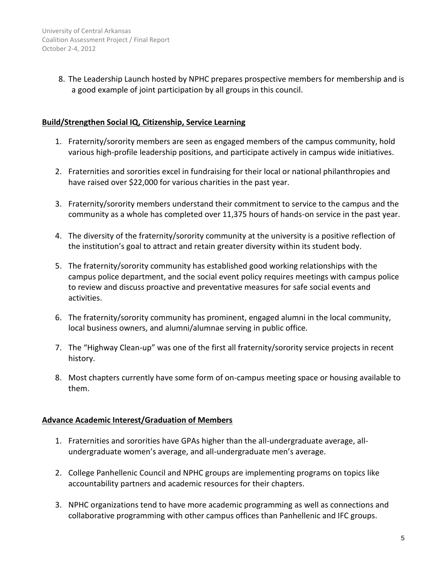8. The Leadership Launch hosted by NPHC prepares prospective members for membership and is a good example of joint participation by all groups in this council.

### **Build/Strengthen Social IQ, Citizenship, Service Learning**

- 1. Fraternity/sorority members are seen as engaged members of the campus community, hold various high-profile leadership positions, and participate actively in campus wide initiatives.
- 2. Fraternities and sororities excel in fundraising for their local or national philanthropies and have raised over \$22,000 for various charities in the past year.
- 3. Fraternity/sorority members understand their commitment to service to the campus and the community as a whole has completed over 11,375 hours of hands-on service in the past year.
- 4. The diversity of the fraternity/sorority community at the university is a positive reflection of the institution's goal to attract and retain greater diversity within its student body.
- 5. The fraternity/sorority community has established good working relationships with the campus police department, and the social event policy requires meetings with campus police to review and discuss proactive and preventative measures for safe social events and activities.
- 6. The fraternity/sorority community has prominent, engaged alumni in the local community, local business owners, and alumni/alumnae serving in public office.
- 7. The "Highway Clean-up" was one of the first all fraternity/sorority service projects in recent history.
- 8. Most chapters currently have some form of on-campus meeting space or housing available to them.

### **Advance Academic Interest/Graduation of Members**

- 1. Fraternities and sororities have GPAs higher than the all-undergraduate average, allundergraduate women's average, and all-undergraduate men's average.
- 2. College Panhellenic Council and NPHC groups are implementing programs on topics like accountability partners and academic resources for their chapters.
- 3. NPHC organizations tend to have more academic programming as well as connections and collaborative programming with other campus offices than Panhellenic and IFC groups.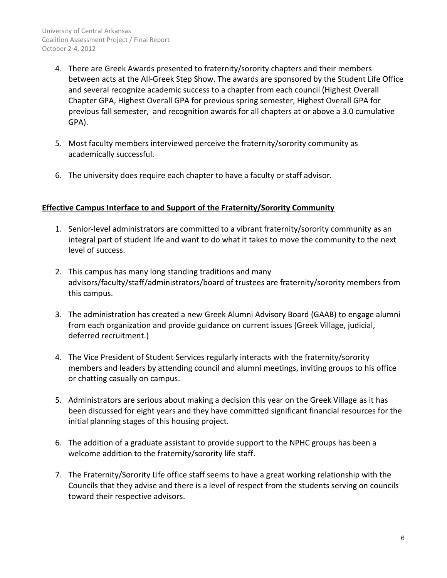- 4. There are Greek Awards presented to fraternity/sorority chapters and their members between acts at the All-Greek Step Show. The awards are sponsored by the Student Life Office and several recognize academic success to a chapter from each council (Highest Overall Chapter GPA, Highest Overall GPA for previous spring semester, Highest Overall GPA for previous fall semester, and recognition awards for all chapters at or above a 3.0 cumulative GPA).
- 5. Most faculty members interviewed perceive the fraternity/sorority community as academically successful.
- 6. The university does require each chapter to have a faculty or staff advisor.

#### **Effective Campus Interface to and Support of the Fraternity/Sorority Community**

- 1. Senior-level administrators are committed to a vibrant fraternity/sorority community as an integral part of student life and want to do what it takes to move the community to the next level of success.
- 2. This campus has many long standing traditions and many advisors/faculty/staff/administrators/board of trustees are fraternity/sorority members from this campus.
- 3. The administration has created a new Greek Alumni Advisory Board (GAAB) to engage alumni from each organization and provide guidance on current issues (Greek Village, judicial, deferred recruitment.)
- 4. The Vice President of Student Services regularly interacts with the fraternity/sorority members and leaders by attending council and alumni meetings, inviting groups to his office or chatting casually on campus.
- 5. Administrators are serious about making a decision this year on the Greek Village as it has been discussed for eight years and they have committed significant financial resources for the initial planning stages of this housing project.
- 6. The addition of a graduate assistant to provide support to the NPHC groups has been a welcome addition to the fraternity/sorority life staff.
- 7. The Fraternity/Sorority Life office staff seems to have a great working relationship with the Councils that they advise and there is a level of respect from the students serving on councils toward their respective advisors.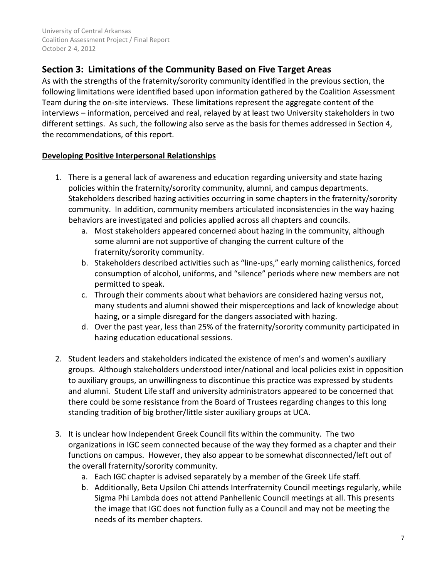# **Section 3: Limitations of the Community Based on Five Target Areas**

As with the strengths of the fraternity/sorority community identified in the previous section, the following limitations were identified based upon information gathered by the Coalition Assessment Team during the on-site interviews. These limitations represent the aggregate content of the interviews – information, perceived and real, relayed by at least two University stakeholders in two different settings. As such, the following also serve as the basis for themes addressed in Section 4, the recommendations, of this report.

### **Developing Positive Interpersonal Relationships**

- 1. There is a general lack of awareness and education regarding university and state hazing policies within the fraternity/sorority community, alumni, and campus departments. Stakeholders described hazing activities occurring in some chapters in the fraternity/sorority community. In addition, community members articulated inconsistencies in the way hazing behaviors are investigated and policies applied across all chapters and councils.
	- a. Most stakeholders appeared concerned about hazing in the community, although some alumni are not supportive of changing the current culture of the fraternity/sorority community.
	- b. Stakeholders described activities such as "line-ups," early morning calisthenics, forced consumption of alcohol, uniforms, and "silence" periods where new members are not permitted to speak.
	- c. Through their comments about what behaviors are considered hazing versus not, many students and alumni showed their misperceptions and lack of knowledge about hazing, or a simple disregard for the dangers associated with hazing.
	- d. Over the past year, less than 25% of the fraternity/sorority community participated in hazing education educational sessions.
- 2. Student leaders and stakeholders indicated the existence of men's and women's auxiliary groups. Although stakeholders understood inter/national and local policies exist in opposition to auxiliary groups, an unwillingness to discontinue this practice was expressed by students and alumni. Student Life staff and university administrators appeared to be concerned that there could be some resistance from the Board of Trustees regarding changes to this long standing tradition of big brother/little sister auxiliary groups at UCA.
- 3. It is unclear how Independent Greek Council fits within the community. The two organizations in IGC seem connected because of the way they formed as a chapter and their functions on campus. However, they also appear to be somewhat disconnected/left out of the overall fraternity/sorority community.
	- a. Each IGC chapter is advised separately by a member of the Greek Life staff.
	- b. Additionally, Beta Upsilon Chi attends Interfraternity Council meetings regularly, while Sigma Phi Lambda does not attend Panhellenic Council meetings at all. This presents the image that IGC does not function fully as a Council and may not be meeting the needs of its member chapters.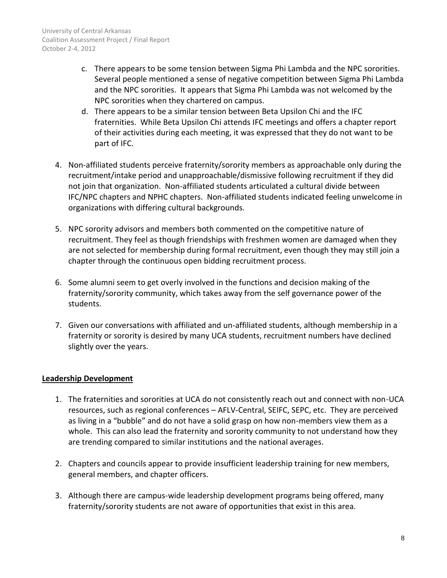- c. There appears to be some tension between Sigma Phi Lambda and the NPC sororities. Several people mentioned a sense of negative competition between Sigma Phi Lambda and the NPC sororities. It appears that Sigma Phi Lambda was not welcomed by the NPC sororities when they chartered on campus.
- d. There appears to be a similar tension between Beta Upsilon Chi and the IFC fraternities. While Beta Upsilon Chi attends IFC meetings and offers a chapter report of their activities during each meeting, it was expressed that they do not want to be part of IFC.
- 4. Non-affiliated students perceive fraternity/sorority members as approachable only during the recruitment/intake period and unapproachable/dismissive following recruitment if they did not join that organization. Non-affiliated students articulated a cultural divide between IFC/NPC chapters and NPHC chapters. Non-affiliated students indicated feeling unwelcome in organizations with differing cultural backgrounds.
- 5. NPC sorority advisors and members both commented on the competitive nature of recruitment. They feel as though friendships with freshmen women are damaged when they are not selected for membership during formal recruitment, even though they may still join a chapter through the continuous open bidding recruitment process.
- 6. Some alumni seem to get overly involved in the functions and decision making of the fraternity/sorority community, which takes away from the self governance power of the students.
- 7. Given our conversations with affiliated and un-affiliated students, although membership in a fraternity or sorority is desired by many UCA students, recruitment numbers have declined slightly over the years.

### **Leadership Development**

- 1. The fraternities and sororities at UCA do not consistently reach out and connect with non-UCA resources, such as regional conferences – AFLV-Central, SEIFC, SEPC, etc. They are perceived as living in a "bubble" and do not have a solid grasp on how non-members view them as a whole. This can also lead the fraternity and sorority community to not understand how they are trending compared to similar institutions and the national averages.
- 2. Chapters and councils appear to provide insufficient leadership training for new members, general members, and chapter officers.
- 3. Although there are campus-wide leadership development programs being offered, many fraternity/sorority students are not aware of opportunities that exist in this area.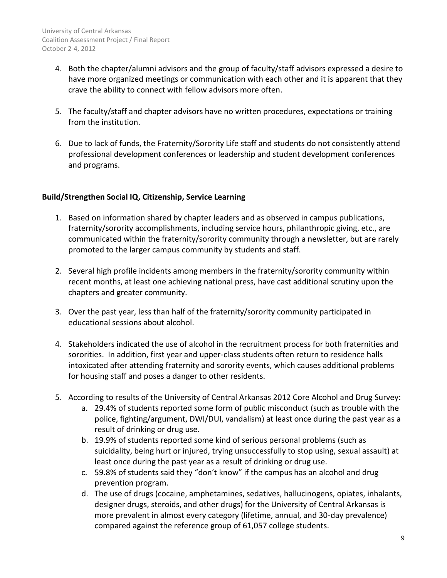- 4. Both the chapter/alumni advisors and the group of faculty/staff advisors expressed a desire to have more organized meetings or communication with each other and it is apparent that they crave the ability to connect with fellow advisors more often.
- 5. The faculty/staff and chapter advisors have no written procedures, expectations or training from the institution.
- 6. Due to lack of funds, the Fraternity/Sorority Life staff and students do not consistently attend professional development conferences or leadership and student development conferences and programs.

### **Build/Strengthen Social IQ, Citizenship, Service Learning**

- 1. Based on information shared by chapter leaders and as observed in campus publications, fraternity/sorority accomplishments, including service hours, philanthropic giving, etc., are communicated within the fraternity/sorority community through a newsletter, but are rarely promoted to the larger campus community by students and staff.
- 2. Several high profile incidents among members in the fraternity/sorority community within recent months, at least one achieving national press, have cast additional scrutiny upon the chapters and greater community.
- 3. Over the past year, less than half of the fraternity/sorority community participated in educational sessions about alcohol.
- 4. Stakeholders indicated the use of alcohol in the recruitment process for both fraternities and sororities. In addition, first year and upper-class students often return to residence halls intoxicated after attending fraternity and sorority events, which causes additional problems for housing staff and poses a danger to other residents.
- 5. According to results of the University of Central Arkansas 2012 Core Alcohol and Drug Survey:
	- a. 29.4% of students reported some form of public misconduct (such as trouble with the police, fighting/argument, DWI/DUI, vandalism) at least once during the past year as a result of drinking or drug use.
	- b. 19.9% of students reported some kind of serious personal problems (such as suicidality, being hurt or injured, trying unsuccessfully to stop using, sexual assault) at least once during the past year as a result of drinking or drug use.
	- c. 59.8% of students said they "don't know" if the campus has an alcohol and drug prevention program.
	- d. The use of drugs (cocaine, amphetamines, sedatives, hallucinogens, opiates, inhalants, designer drugs, steroids, and other drugs) for the University of Central Arkansas is more prevalent in almost every category (lifetime, annual, and 30-day prevalence) compared against the reference group of 61,057 college students.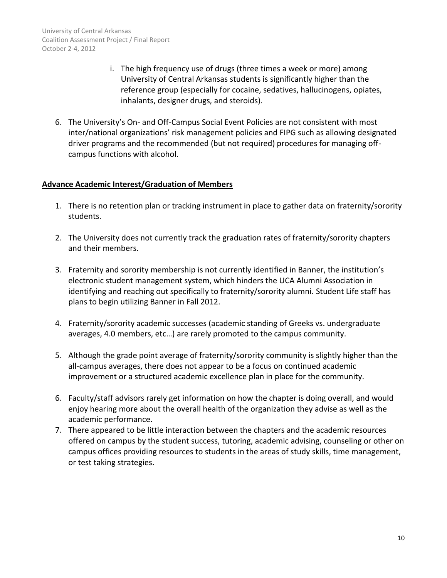- i. The high frequency use of drugs (three times a week or more) among University of Central Arkansas students is significantly higher than the reference group (especially for cocaine, sedatives, hallucinogens, opiates, inhalants, designer drugs, and steroids).
- 6. The University's On- and Off-Campus Social Event Policies are not consistent with most inter/national organizations' risk management policies and FIPG such as allowing designated driver programs and the recommended (but not required) procedures for managing offcampus functions with alcohol.

#### **Advance Academic Interest/Graduation of Members**

- 1. There is no retention plan or tracking instrument in place to gather data on fraternity/sorority students.
- 2. The University does not currently track the graduation rates of fraternity/sorority chapters and their members.
- 3. Fraternity and sorority membership is not currently identified in Banner, the institution's electronic student management system, which hinders the UCA Alumni Association in identifying and reaching out specifically to fraternity/sorority alumni. Student Life staff has plans to begin utilizing Banner in Fall 2012.
- 4. Fraternity/sorority academic successes (academic standing of Greeks vs. undergraduate averages, 4.0 members, etc…) are rarely promoted to the campus community.
- 5. Although the grade point average of fraternity/sorority community is slightly higher than the all-campus averages, there does not appear to be a focus on continued academic improvement or a structured academic excellence plan in place for the community.
- 6. Faculty/staff advisors rarely get information on how the chapter is doing overall, and would enjoy hearing more about the overall health of the organization they advise as well as the academic performance.
- 7. There appeared to be little interaction between the chapters and the academic resources offered on campus by the student success, tutoring, academic advising, counseling or other on campus offices providing resources to students in the areas of study skills, time management, or test taking strategies.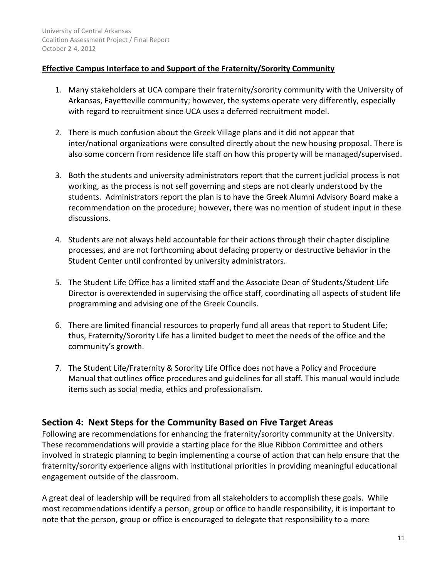### **Effective Campus Interface to and Support of the Fraternity/Sorority Community**

- 1. Many stakeholders at UCA compare their fraternity/sorority community with the University of Arkansas, Fayetteville community; however, the systems operate very differently, especially with regard to recruitment since UCA uses a deferred recruitment model.
- 2. There is much confusion about the Greek Village plans and it did not appear that inter/national organizations were consulted directly about the new housing proposal. There is also some concern from residence life staff on how this property will be managed/supervised.
- 3. Both the students and university administrators report that the current judicial process is not working, as the process is not self governing and steps are not clearly understood by the students. Administrators report the plan is to have the Greek Alumni Advisory Board make a recommendation on the procedure; however, there was no mention of student input in these discussions.
- 4. Students are not always held accountable for their actions through their chapter discipline processes, and are not forthcoming about defacing property or destructive behavior in the Student Center until confronted by university administrators.
- 5. The Student Life Office has a limited staff and the Associate Dean of Students/Student Life Director is overextended in supervising the office staff, coordinating all aspects of student life programming and advising one of the Greek Councils.
- 6. There are limited financial resources to properly fund all areas that report to Student Life; thus, Fraternity/Sorority Life has a limited budget to meet the needs of the office and the community's growth.
- 7. The Student Life/Fraternity & Sorority Life Office does not have a Policy and Procedure Manual that outlines office procedures and guidelines for all staff. This manual would include items such as social media, ethics and professionalism.

## **Section 4: Next Steps for the Community Based on Five Target Areas**

Following are recommendations for enhancing the fraternity/sorority community at the University. These recommendations will provide a starting place for the Blue Ribbon Committee and others involved in strategic planning to begin implementing a course of action that can help ensure that the fraternity/sorority experience aligns with institutional priorities in providing meaningful educational engagement outside of the classroom.

A great deal of leadership will be required from all stakeholders to accomplish these goals. While most recommendations identify a person, group or office to handle responsibility, it is important to note that the person, group or office is encouraged to delegate that responsibility to a more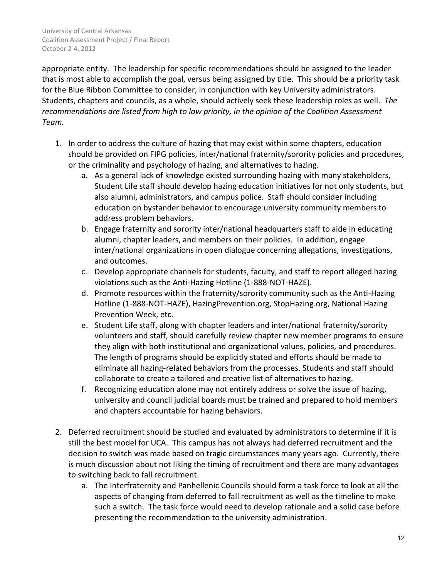appropriate entity. The leadership for specific recommendations should be assigned to the leader that is most able to accomplish the goal, versus being assigned by title. This should be a priority task for the Blue Ribbon Committee to consider, in conjunction with key University administrators. Students, chapters and councils, as a whole, should actively seek these leadership roles as well. *The recommendations are listed from high to low priority, in the opinion of the Coalition Assessment Team.*

- 1. In order to address the culture of hazing that may exist within some chapters, education should be provided on FIPG policies, inter/national fraternity/sorority policies and procedures, or the criminality and psychology of hazing, and alternatives to hazing.
	- a. As a general lack of knowledge existed surrounding hazing with many stakeholders, Student Life staff should develop hazing education initiatives for not only students, but also alumni, administrators, and campus police. Staff should consider including education on bystander behavior to encourage university community members to address problem behaviors.
	- b. Engage fraternity and sorority inter/national headquarters staff to aide in educating alumni, chapter leaders, and members on their policies. In addition, engage inter/national organizations in open dialogue concerning allegations, investigations, and outcomes.
	- c. Develop appropriate channels for students, faculty, and staff to report alleged hazing violations such as the Anti-Hazing Hotline (1-888-NOT-HAZE).
	- d. Promote resources within the fraternity/sorority community such as the Anti-Hazing Hotline (1-888-NOT-HAZE), HazingPrevention.org, StopHazing.org, National Hazing Prevention Week, etc.
	- e. Student Life staff, along with chapter leaders and inter/national fraternity/sorority volunteers and staff, should carefully review chapter new member programs to ensure they align with both institutional and organizational values, policies, and procedures. The length of programs should be explicitly stated and efforts should be made to eliminate all hazing-related behaviors from the processes. Students and staff should collaborate to create a tailored and creative list of alternatives to hazing.
	- f. Recognizing education alone may not entirely address or solve the issue of hazing, university and council judicial boards must be trained and prepared to hold members and chapters accountable for hazing behaviors.
- 2. Deferred recruitment should be studied and evaluated by administrators to determine if it is still the best model for UCA. This campus has not always had deferred recruitment and the decision to switch was made based on tragic circumstances many years ago. Currently, there is much discussion about not liking the timing of recruitment and there are many advantages to switching back to fall recruitment.
	- a. The Interfraternity and Panhellenic Councils should form a task force to look at all the aspects of changing from deferred to fall recruitment as well as the timeline to make such a switch. The task force would need to develop rationale and a solid case before presenting the recommendation to the university administration.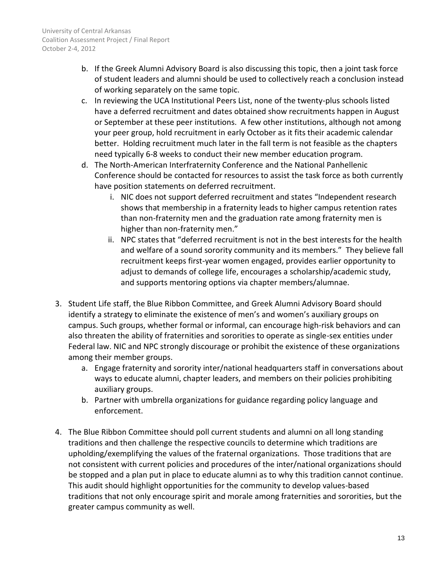- b. If the Greek Alumni Advisory Board is also discussing this topic, then a joint task force of student leaders and alumni should be used to collectively reach a conclusion instead of working separately on the same topic.
- c. In reviewing the UCA Institutional Peers List, none of the twenty-plus schools listed have a deferred recruitment and dates obtained show recruitments happen in August or September at these peer institutions. A few other institutions, although not among your peer group, hold recruitment in early October as it fits their academic calendar better. Holding recruitment much later in the fall term is not feasible as the chapters need typically 6-8 weeks to conduct their new member education program.
- d. The North-American Interfraternity Conference and the National Panhellenic Conference should be contacted for resources to assist the task force as both currently have position statements on deferred recruitment.
	- i. NIC does not support deferred recruitment and states "Independent research shows that membership in a fraternity leads to higher campus retention rates than non-fraternity men and the graduation rate among fraternity men is higher than non-fraternity men."
	- ii. NPC states that "deferred recruitment is not in the best interests for the health and welfare of a sound sorority community and its members." They believe fall recruitment keeps first-year women engaged, provides earlier opportunity to adjust to demands of college life, encourages a scholarship/academic study, and supports mentoring options via chapter members/alumnae.
- 3. Student Life staff, the Blue Ribbon Committee, and Greek Alumni Advisory Board should identify a strategy to eliminate the existence of men's and women's auxiliary groups on campus. Such groups, whether formal or informal, can encourage high-risk behaviors and can also threaten the ability of fraternities and sororities to operate as single-sex entities under Federal law. NIC and NPC strongly discourage or prohibit the existence of these organizations among their member groups.
	- a. Engage fraternity and sorority inter/national headquarters staff in conversations about ways to educate alumni, chapter leaders, and members on their policies prohibiting auxiliary groups.
	- b. Partner with umbrella organizations for guidance regarding policy language and enforcement.
- 4. The Blue Ribbon Committee should poll current students and alumni on all long standing traditions and then challenge the respective councils to determine which traditions are upholding/exemplifying the values of the fraternal organizations. Those traditions that are not consistent with current policies and procedures of the inter/national organizations should be stopped and a plan put in place to educate alumni as to why this tradition cannot continue. This audit should highlight opportunities for the community to develop values-based traditions that not only encourage spirit and morale among fraternities and sororities, but the greater campus community as well.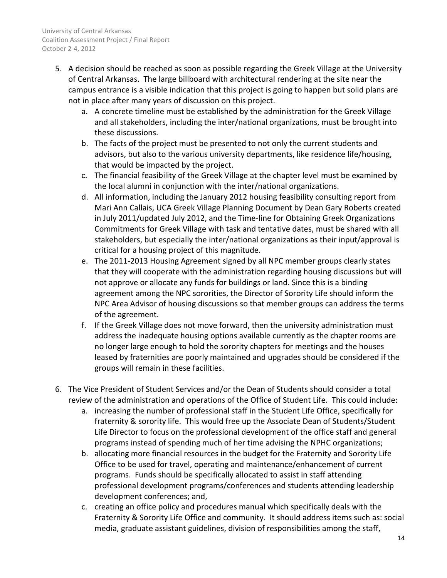- 5. A decision should be reached as soon as possible regarding the Greek Village at the University of Central Arkansas. The large billboard with architectural rendering at the site near the campus entrance is a visible indication that this project is going to happen but solid plans are not in place after many years of discussion on this project.
	- a. A concrete timeline must be established by the administration for the Greek Village and all stakeholders, including the inter/national organizations, must be brought into these discussions.
	- b. The facts of the project must be presented to not only the current students and advisors, but also to the various university departments, like residence life/housing, that would be impacted by the project.
	- c. The financial feasibility of the Greek Village at the chapter level must be examined by the local alumni in conjunction with the inter/national organizations.
	- d. All information, including the January 2012 housing feasibility consulting report from Mari Ann Callais, UCA Greek Village Planning Document by Dean Gary Roberts created in July 2011/updated July 2012, and the Time-line for Obtaining Greek Organizations Commitments for Greek Village with task and tentative dates, must be shared with all stakeholders, but especially the inter/national organizations as their input/approval is critical for a housing project of this magnitude.
	- e. The 2011-2013 Housing Agreement signed by all NPC member groups clearly states that they will cooperate with the administration regarding housing discussions but will not approve or allocate any funds for buildings or land. Since this is a binding agreement among the NPC sororities, the Director of Sorority Life should inform the NPC Area Advisor of housing discussions so that member groups can address the terms of the agreement.
	- f. If the Greek Village does not move forward, then the university administration must address the inadequate housing options available currently as the chapter rooms are no longer large enough to hold the sorority chapters for meetings and the houses leased by fraternities are poorly maintained and upgrades should be considered if the groups will remain in these facilities.
- 6. The Vice President of Student Services and/or the Dean of Students should consider a total review of the administration and operations of the Office of Student Life. This could include:
	- a. increasing the number of professional staff in the Student Life Office, specifically for fraternity & sorority life. This would free up the Associate Dean of Students/Student Life Director to focus on the professional development of the office staff and general programs instead of spending much of her time advising the NPHC organizations;
	- b. allocating more financial resources in the budget for the Fraternity and Sorority Life Office to be used for travel, operating and maintenance/enhancement of current programs. Funds should be specifically allocated to assist in staff attending professional development programs/conferences and students attending leadership development conferences; and,
	- c. creating an office policy and procedures manual which specifically deals with the Fraternity & Sorority Life Office and community. It should address items such as: social media, graduate assistant guidelines, division of responsibilities among the staff,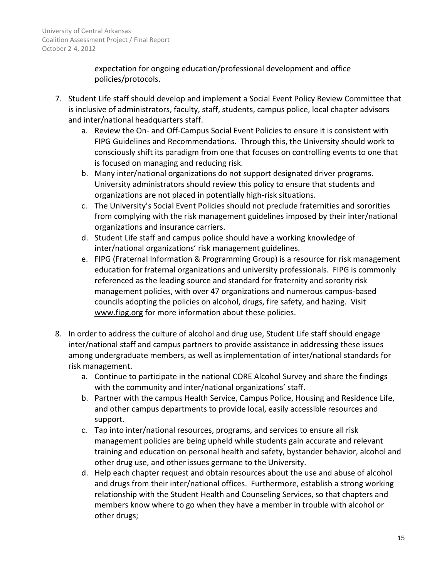expectation for ongoing education/professional development and office policies/protocols.

- 7. Student Life staff should develop and implement a Social Event Policy Review Committee that is inclusive of administrators, faculty, staff, students, campus police, local chapter advisors and inter/national headquarters staff.
	- a. Review the On- and Off-Campus Social Event Policies to ensure it is consistent with FIPG Guidelines and Recommendations. Through this, the University should work to consciously shift its paradigm from one that focuses on controlling events to one that is focused on managing and reducing risk.
	- b. Many inter/national organizations do not support designated driver programs. University administrators should review this policy to ensure that students and organizations are not placed in potentially high-risk situations.
	- c. The University's Social Event Policies should not preclude fraternities and sororities from complying with the risk management guidelines imposed by their inter/national organizations and insurance carriers.
	- d. Student Life staff and campus police should have a working knowledge of inter/national organizations' risk management guidelines.
	- e. FIPG (Fraternal Information & Programming Group) is a resource for risk management education for fraternal organizations and university professionals. FIPG is commonly referenced as the leading source and standard for fraternity and sorority risk management policies, with over 47 organizations and numerous campus-based councils adopting the policies on alcohol, drugs, fire safety, and hazing. Visit [www.fipg.org](http://www.fipg.org/) for more information about these policies.
- 8. In order to address the culture of alcohol and drug use, Student Life staff should engage inter/national staff and campus partners to provide assistance in addressing these issues among undergraduate members, as well as implementation of inter/national standards for risk management.
	- a. Continue to participate in the national CORE Alcohol Survey and share the findings with the community and inter/national organizations' staff.
	- b. Partner with the campus Health Service, Campus Police, Housing and Residence Life, and other campus departments to provide local, easily accessible resources and support.
	- c. Tap into inter/national resources, programs, and services to ensure all risk management policies are being upheld while students gain accurate and relevant training and education on personal health and safety, bystander behavior, alcohol and other drug use, and other issues germane to the University.
	- d. Help each chapter request and obtain resources about the use and abuse of alcohol and drugs from their inter/national offices. Furthermore, establish a strong working relationship with the Student Health and Counseling Services, so that chapters and members know where to go when they have a member in trouble with alcohol or other drugs;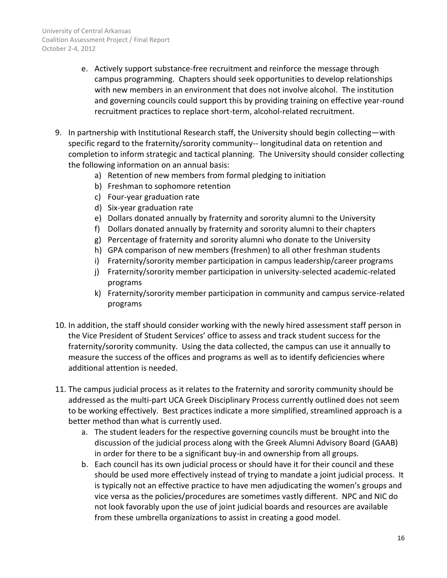- e. Actively support substance-free recruitment and reinforce the message through campus programming. Chapters should seek opportunities to develop relationships with new members in an environment that does not involve alcohol. The institution and governing councils could support this by providing training on effective year-round recruitment practices to replace short-term, alcohol-related recruitment.
- 9. In partnership with Institutional Research staff, the University should begin collecting—with specific regard to the fraternity/sorority community-- longitudinal data on retention and completion to inform strategic and tactical planning. The University should consider collecting the following information on an annual basis:
	- a) Retention of new members from formal pledging to initiation
	- b) Freshman to sophomore retention
	- c) Four-year graduation rate
	- d) Six-year graduation rate
	- e) Dollars donated annually by fraternity and sorority alumni to the University
	- f) Dollars donated annually by fraternity and sorority alumni to their chapters
	- g) Percentage of fraternity and sorority alumni who donate to the University
	- h) GPA comparison of new members (freshmen) to all other freshman students
	- i) Fraternity/sorority member participation in campus leadership/career programs
	- j) Fraternity/sorority member participation in university-selected academic-related programs
	- k) Fraternity/sorority member participation in community and campus service-related programs
- 10. In addition, the staff should consider working with the newly hired assessment staff person in the Vice President of Student Services' office to assess and track student success for the fraternity/sorority community. Using the data collected, the campus can use it annually to measure the success of the offices and programs as well as to identify deficiencies where additional attention is needed.
- 11. The campus judicial process as it relates to the fraternity and sorority community should be addressed as the multi-part UCA Greek Disciplinary Process currently outlined does not seem to be working effectively. Best practices indicate a more simplified, streamlined approach is a better method than what is currently used.
	- a. The student leaders for the respective governing councils must be brought into the discussion of the judicial process along with the Greek Alumni Advisory Board (GAAB) in order for there to be a significant buy-in and ownership from all groups.
	- b. Each council has its own judicial process or should have it for their council and these should be used more effectively instead of trying to mandate a joint judicial process. It is typically not an effective practice to have men adjudicating the women's groups and vice versa as the policies/procedures are sometimes vastly different. NPC and NIC do not look favorably upon the use of joint judicial boards and resources are available from these umbrella organizations to assist in creating a good model.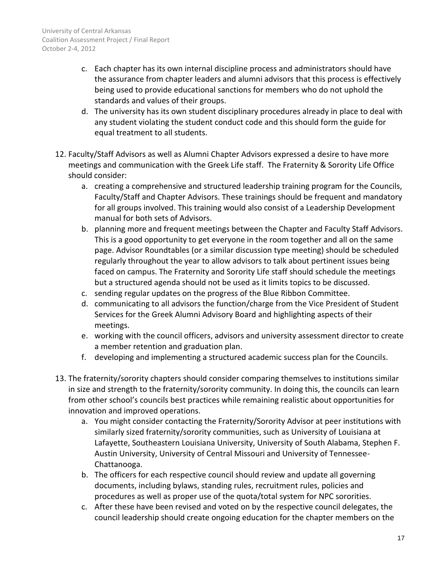- c. Each chapter has its own internal discipline process and administrators should have the assurance from chapter leaders and alumni advisors that this process is effectively being used to provide educational sanctions for members who do not uphold the standards and values of their groups.
- d. The university has its own student disciplinary procedures already in place to deal with any student violating the student conduct code and this should form the guide for equal treatment to all students.
- 12. Faculty/Staff Advisors as well as Alumni Chapter Advisors expressed a desire to have more meetings and communication with the Greek Life staff. The Fraternity & Sorority Life Office should consider:
	- a. creating a comprehensive and structured leadership training program for the Councils, Faculty/Staff and Chapter Advisors. These trainings should be frequent and mandatory for all groups involved. This training would also consist of a Leadership Development manual for both sets of Advisors.
	- b. planning more and frequent meetings between the Chapter and Faculty Staff Advisors. This is a good opportunity to get everyone in the room together and all on the same page. Advisor Roundtables (or a similar discussion type meeting) should be scheduled regularly throughout the year to allow advisors to talk about pertinent issues being faced on campus. The Fraternity and Sorority Life staff should schedule the meetings but a structured agenda should not be used as it limits topics to be discussed.
	- c. sending regular updates on the progress of the Blue Ribbon Committee.
	- d. communicating to all advisors the function/charge from the Vice President of Student Services for the Greek Alumni Advisory Board and highlighting aspects of their meetings.
	- e. working with the council officers, advisors and university assessment director to create a member retention and graduation plan.
	- f. developing and implementing a structured academic success plan for the Councils.
- 13. The fraternity/sorority chapters should consider comparing themselves to institutions similar in size and strength to the fraternity/sorority community. In doing this, the councils can learn from other school's councils best practices while remaining realistic about opportunities for innovation and improved operations.
	- a. You might consider contacting the Fraternity/Sorority Advisor at peer institutions with similarly sized fraternity/sorority communities, such as University of Louisiana at Lafayette, Southeastern Louisiana University, University of South Alabama, Stephen F. Austin University, University of Central Missouri and University of Tennessee-Chattanooga.
	- b. The officers for each respective council should review and update all governing documents, including bylaws, standing rules, recruitment rules, policies and procedures as well as proper use of the quota/total system for NPC sororities.
	- c. After these have been revised and voted on by the respective council delegates, the council leadership should create ongoing education for the chapter members on the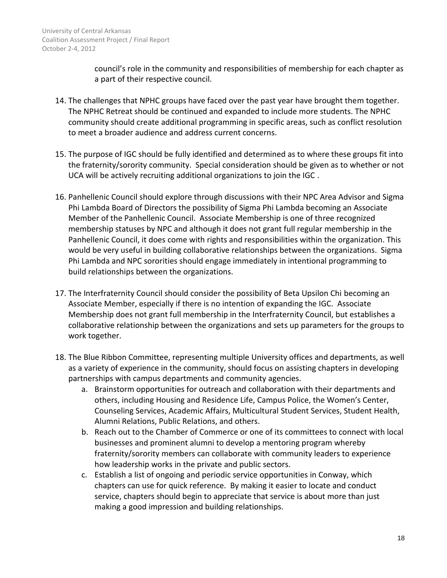council's role in the community and responsibilities of membership for each chapter as a part of their respective council.

- 14. The challenges that NPHC groups have faced over the past year have brought them together. The NPHC Retreat should be continued and expanded to include more students. The NPHC community should create additional programming in specific areas, such as conflict resolution to meet a broader audience and address current concerns.
- 15. The purpose of IGC should be fully identified and determined as to where these groups fit into the fraternity/sorority community. Special consideration should be given as to whether or not UCA will be actively recruiting additional organizations to join the IGC .
- 16. Panhellenic Council should explore through discussions with their NPC Area Advisor and Sigma Phi Lambda Board of Directors the possibility of Sigma Phi Lambda becoming an Associate Member of the Panhellenic Council. Associate Membership is one of three recognized membership statuses by NPC and although it does not grant full regular membership in the Panhellenic Council, it does come with rights and responsibilities within the organization. This would be very useful in building collaborative relationships between the organizations. Sigma Phi Lambda and NPC sororities should engage immediately in intentional programming to build relationships between the organizations.
- 17. The Interfraternity Council should consider the possibility of Beta Upsilon Chi becoming an Associate Member, especially if there is no intention of expanding the IGC. Associate Membership does not grant full membership in the Interfraternity Council, but establishes a collaborative relationship between the organizations and sets up parameters for the groups to work together.
- 18. The Blue Ribbon Committee, representing multiple University offices and departments, as well as a variety of experience in the community, should focus on assisting chapters in developing partnerships with campus departments and community agencies.
	- a. Brainstorm opportunities for outreach and collaboration with their departments and others, including Housing and Residence Life, Campus Police, the Women's Center, Counseling Services, Academic Affairs, Multicultural Student Services, Student Health, Alumni Relations, Public Relations, and others.
	- b. Reach out to the Chamber of Commerce or one of its committees to connect with local businesses and prominent alumni to develop a mentoring program whereby fraternity/sorority members can collaborate with community leaders to experience how leadership works in the private and public sectors.
	- c. Establish a list of ongoing and periodic service opportunities in Conway, which chapters can use for quick reference. By making it easier to locate and conduct service, chapters should begin to appreciate that service is about more than just making a good impression and building relationships.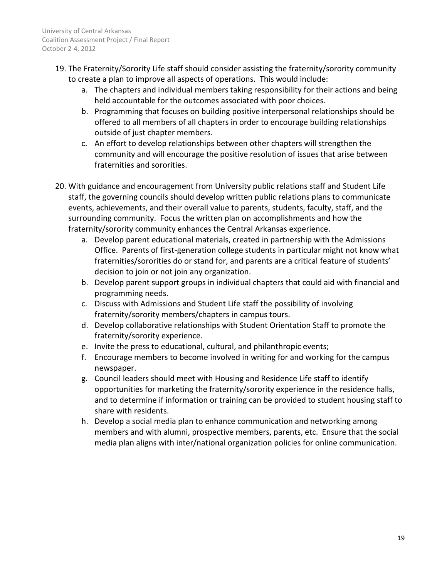- 19. The Fraternity/Sorority Life staff should consider assisting the fraternity/sorority community to create a plan to improve all aspects of operations. This would include:
	- a. The chapters and individual members taking responsibility for their actions and being held accountable for the outcomes associated with poor choices.
	- b. Programming that focuses on building positive interpersonal relationships should be offered to all members of all chapters in order to encourage building relationships outside of just chapter members.
	- c. An effort to develop relationships between other chapters will strengthen the community and will encourage the positive resolution of issues that arise between fraternities and sororities.
- 20. With guidance and encouragement from University public relations staff and Student Life staff, the governing councils should develop written public relations plans to communicate events, achievements, and their overall value to parents, students, faculty, staff, and the surrounding community. Focus the written plan on accomplishments and how the fraternity/sorority community enhances the Central Arkansas experience.
	- a. Develop parent educational materials, created in partnership with the Admissions Office. Parents of first-generation college students in particular might not know what fraternities/sororities do or stand for, and parents are a critical feature of students' decision to join or not join any organization.
	- b. Develop parent support groups in individual chapters that could aid with financial and programming needs.
	- c. Discuss with Admissions and Student Life staff the possibility of involving fraternity/sorority members/chapters in campus tours.
	- d. Develop collaborative relationships with Student Orientation Staff to promote the fraternity/sorority experience.
	- e. Invite the press to educational, cultural, and philanthropic events;
	- f. Encourage members to become involved in writing for and working for the campus newspaper.
	- g. Council leaders should meet with Housing and Residence Life staff to identify opportunities for marketing the fraternity/sorority experience in the residence halls, and to determine if information or training can be provided to student housing staff to share with residents.
	- h. Develop a social media plan to enhance communication and networking among members and with alumni, prospective members, parents, etc. Ensure that the social media plan aligns with inter/national organization policies for online communication.